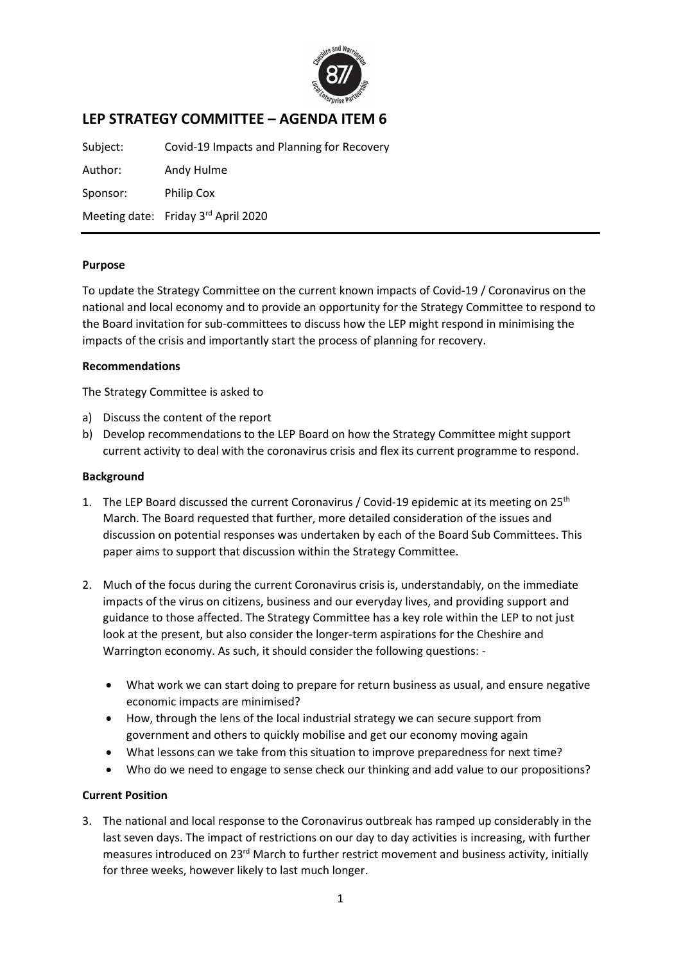

# **LEP STRATEGY COMMITTEE – AGENDA ITEM 6**

Subject: Covid-19 Impacts and Planning for Recovery Author: Andy Hulme Sponsor: Philip Cox Meeting date: Friday 3<sup>rd</sup> April 2020

## **Purpose**

To update the Strategy Committee on the current known impacts of Covid-19 / Coronavirus on the national and local economy and to provide an opportunity for the Strategy Committee to respond to the Board invitation for sub-committees to discuss how the LEP might respond in minimising the impacts of the crisis and importantly start the process of planning for recovery.

#### **Recommendations**

The Strategy Committee is asked to

- a) Discuss the content of the report
- b) Develop recommendations to the LEP Board on how the Strategy Committee might support current activity to deal with the coronavirus crisis and flex its current programme to respond.

#### **Background**

- 1. The LEP Board discussed the current Coronavirus / Covid-19 epidemic at its meeting on 25<sup>th</sup> March. The Board requested that further, more detailed consideration of the issues and discussion on potential responses was undertaken by each of the Board Sub Committees. This paper aims to support that discussion within the Strategy Committee.
- 2. Much of the focus during the current Coronavirus crisis is, understandably, on the immediate impacts of the virus on citizens, business and our everyday lives, and providing support and guidance to those affected. The Strategy Committee has a key role within the LEP to not just look at the present, but also consider the longer-term aspirations for the Cheshire and Warrington economy. As such, it should consider the following questions: -
	- What work we can start doing to prepare for return business as usual, and ensure negative economic impacts are minimised?
	- How, through the lens of the local industrial strategy we can secure support from government and others to quickly mobilise and get our economy moving again
	- What lessons can we take from this situation to improve preparedness for next time?
	- Who do we need to engage to sense check our thinking and add value to our propositions?

# **Current Position**

3. The national and local response to the Coronavirus outbreak has ramped up considerably in the last seven days. The impact of restrictions on our day to day activities is increasing, with further measures introduced on 23<sup>rd</sup> March to further restrict movement and business activity, initially for three weeks, however likely to last much longer.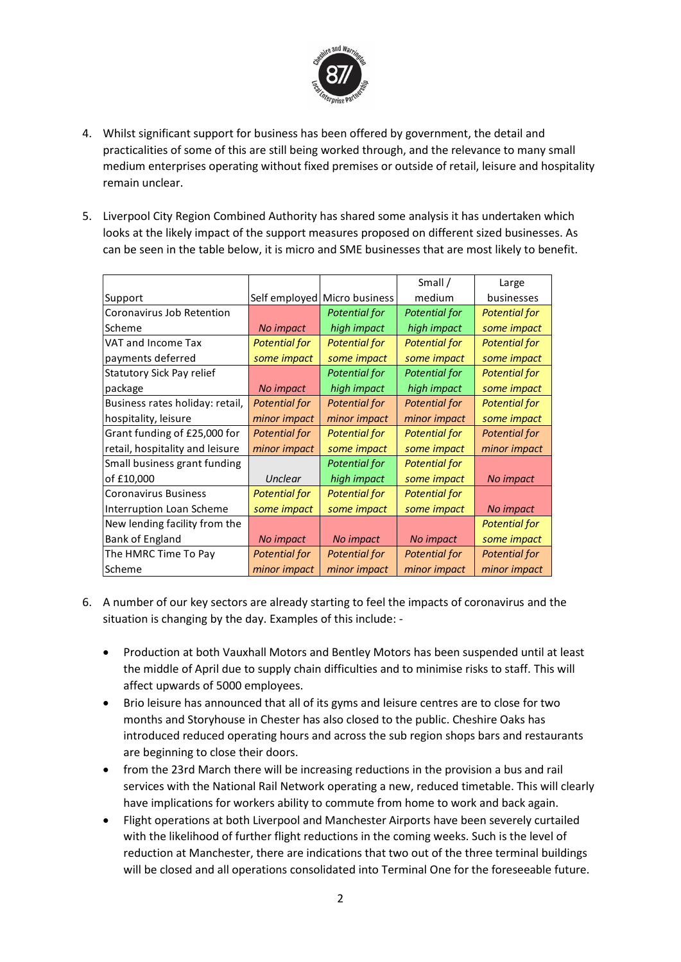

- 4. Whilst significant support for business has been offered by government, the detail and practicalities of some of this are still being worked through, and the relevance to many small medium enterprises operating without fixed premises or outside of retail, leisure and hospitality remain unclear.
- 5. Liverpool City Region Combined Authority has shared some analysis it has undertaken which looks at the likely impact of the support measures proposed on different sized businesses. As can be seen in the table below, it is micro and SME businesses that are most likely to benefit.

|                                  |                      |                      | Small /              | Large                |
|----------------------------------|----------------------|----------------------|----------------------|----------------------|
| Support                          | Self employed        | Micro business       | medium               | businesses           |
| Coronavirus Job Retention        |                      | <b>Potential for</b> | <b>Potential for</b> | <b>Potential for</b> |
| Scheme                           | No impact            | high impact          | high impact          | some impact          |
| VAT and Income Tax               | <b>Potential for</b> | <b>Potential for</b> | <b>Potential for</b> | <b>Potential for</b> |
| payments deferred                | some impact          | some impact          | some impact          | some impact          |
| <b>Statutory Sick Pay relief</b> |                      | <b>Potential for</b> | <b>Potential for</b> | <b>Potential for</b> |
| package                          | No impact            | high impact          | high impact          | some impact          |
| Business rates holiday: retail,  | <b>Potential for</b> | <b>Potential for</b> | <b>Potential for</b> | <b>Potential for</b> |
| hospitality, leisure             | minor impact         | minor impact         | minor impact         | some impact          |
| Grant funding of £25,000 for     | <b>Potential for</b> | <b>Potential for</b> | <b>Potential for</b> | <b>Potential for</b> |
| retail, hospitality and leisure  | minor impact         | some impact          | some impact          | minor impact         |
| Small business grant funding     |                      | <b>Potential for</b> | <b>Potential for</b> |                      |
| of £10,000                       | Unclear              | high impact          | some impact          | No impact            |
| <b>Coronavirus Business</b>      | <b>Potential for</b> | <b>Potential for</b> | <b>Potential for</b> |                      |
| Interruption Loan Scheme         | some impact          | some impact          | some impact          | No impact            |
| New lending facility from the    |                      |                      |                      | <b>Potential for</b> |
| Bank of England                  | No impact            | No impact            | No impact            | some impact          |
| The HMRC Time To Pay             | <b>Potential for</b> | <b>Potential for</b> | <b>Potential for</b> | <b>Potential for</b> |
| Scheme                           | minor impact         | minor impact         | minor impact         | minor impact         |

- 6. A number of our key sectors are already starting to feel the impacts of coronavirus and the situation is changing by the day. Examples of this include: -
	- Production at both Vauxhall Motors and Bentley Motors has been suspended until at least the middle of April due to supply chain difficulties and to minimise risks to staff. This will affect upwards of 5000 employees.
	- Brio leisure has announced that all of its gyms and leisure centres are to close for two months and Storyhouse in Chester has also closed to the public. Cheshire Oaks has introduced reduced operating hours and across the sub region shops bars and restaurants are beginning to close their doors.
	- from the 23rd March there will be increasing reductions in the provision a bus and rail services with the National Rail Network operating a new, reduced timetable. This will clearly have implications for workers ability to commute from home to work and back again.
	- Flight operations at both Liverpool and Manchester Airports have been severely curtailed with the likelihood of further flight reductions in the coming weeks. Such is the level of reduction at Manchester, there are indications that two out of the three terminal buildings will be closed and all operations consolidated into Terminal One for the foreseeable future.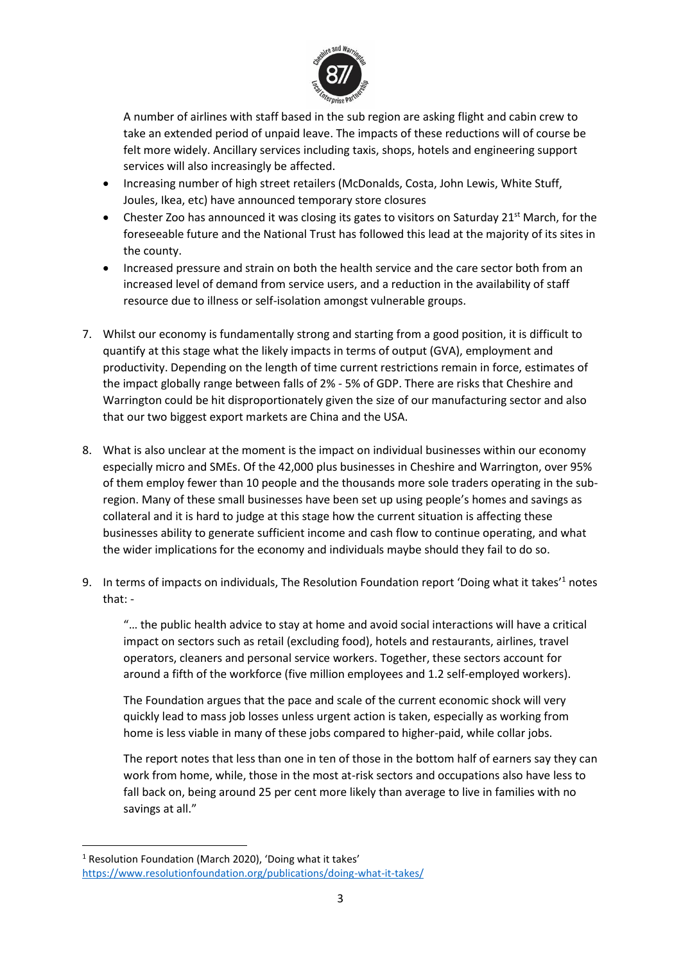

A number of airlines with staff based in the sub region are asking flight and cabin crew to take an extended period of unpaid leave. The impacts of these reductions will of course be felt more widely. Ancillary services including taxis, shops, hotels and engineering support services will also increasingly be affected.

- Increasing number of high street retailers (McDonalds, Costa, John Lewis, White Stuff, Joules, Ikea, etc) have announced temporary store closures
- Chester Zoo has announced it was closing its gates to visitors on Saturday 21<sup>st</sup> March, for the foreseeable future and the National Trust has followed this lead at the majority of its sites in the county.
- Increased pressure and strain on both the health service and the care sector both from an increased level of demand from service users, and a reduction in the availability of staff resource due to illness or self-isolation amongst vulnerable groups.
- 7. Whilst our economy is fundamentally strong and starting from a good position, it is difficult to quantify at this stage what the likely impacts in terms of output (GVA), employment and productivity. Depending on the length of time current restrictions remain in force, estimates of the impact globally range between falls of 2% - 5% of GDP. There are risks that Cheshire and Warrington could be hit disproportionately given the size of our manufacturing sector and also that our two biggest export markets are China and the USA.
- 8. What is also unclear at the moment is the impact on individual businesses within our economy especially micro and SMEs. Of the 42,000 plus businesses in Cheshire and Warrington, over 95% of them employ fewer than 10 people and the thousands more sole traders operating in the subregion. Many of these small businesses have been set up using people's homes and savings as collateral and it is hard to judge at this stage how the current situation is affecting these businesses ability to generate sufficient income and cash flow to continue operating, and what the wider implications for the economy and individuals maybe should they fail to do so.
- 9. In terms of impacts on individuals, The Resolution Foundation report 'Doing what it takes'<sup>1</sup> notes that: -

"… the public health advice to stay at home and avoid social interactions will have a critical impact on sectors such as retail (excluding food), hotels and restaurants, airlines, travel operators, cleaners and personal service workers. Together, these sectors account for around a fifth of the workforce (five million employees and 1.2 self-employed workers).

The Foundation argues that the pace and scale of the current economic shock will very quickly lead to mass job losses unless urgent action is taken, especially as working from home is less viable in many of these jobs compared to higher-paid, while collar jobs.

The report notes that less than one in ten of those in the bottom half of earners say they can work from home, while, those in the most at-risk sectors and occupations also have less to fall back on, being around 25 per cent more likely than average to live in families with no savings at all."

<sup>1</sup> Resolution Foundation (March 2020), 'Doing what it takes' <https://www.resolutionfoundation.org/publications/doing-what-it-takes/>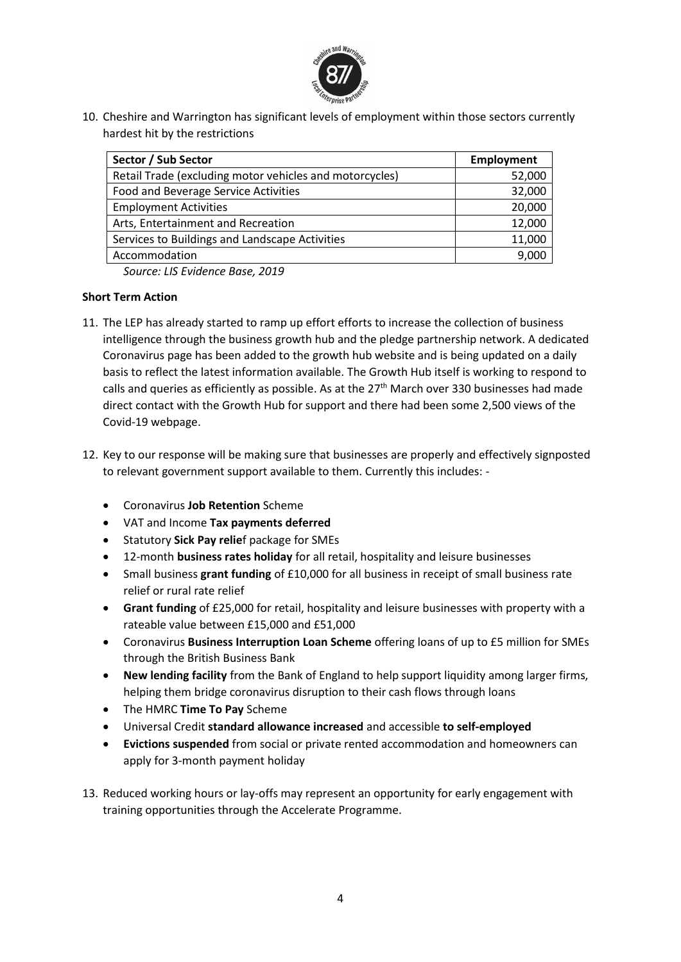

10. Cheshire and Warrington has significant levels of employment within those sectors currently hardest hit by the restrictions

| Sector / Sub Sector                                     | <b>Employment</b> |
|---------------------------------------------------------|-------------------|
| Retail Trade (excluding motor vehicles and motorcycles) | 52,000            |
| Food and Beverage Service Activities                    | 32,000            |
| <b>Employment Activities</b>                            | 20,000            |
| Arts, Entertainment and Recreation                      | 12,000            |
| Services to Buildings and Landscape Activities          | 11,000            |
| Accommodation                                           | 9.000             |

*Source: LIS Evidence Base, 2019*

## **Short Term Action**

- 11. The LEP has already started to ramp up effort efforts to increase the collection of business intelligence through the business growth hub and the pledge partnership network. A dedicated Coronavirus page has been added to the growth hub website and is being updated on a daily basis to reflect the latest information available. The Growth Hub itself is working to respond to calls and queries as efficiently as possible. As at the 27<sup>th</sup> March over 330 businesses had made direct contact with the Growth Hub for support and there had been some 2,500 views of the Covid-19 webpage.
- 12. Key to our response will be making sure that businesses are properly and effectively signposted to relevant government support available to them. Currently this includes: -
	- Coronavirus **Job Retention** Scheme
	- VAT and Income **Tax payments deferred**
	- Statutory **Sick Pay relie**f package for SMEs
	- 12-month **business rates holiday** for all retail, hospitality and leisure businesses
	- Small business **grant funding** of £10,000 for all business in receipt of small business rate relief or rural rate relief
	- **Grant funding** of £25,000 for retail, hospitality and leisure businesses with property with a rateable value between £15,000 and £51,000
	- Coronavirus **Business Interruption Loan Scheme** offering loans of up to £5 million for SMEs through the British Business Bank
	- **New lending facility** from the Bank of England to help support liquidity among larger firms, helping them bridge coronavirus disruption to their cash flows through loans
	- The HMRC **Time To Pay** Scheme
	- Universal Credit **standard allowance increased** and accessible **to self-employed**
	- **Evictions suspended** from social or private rented accommodation and homeowners can apply for 3-month payment holiday
- 13. Reduced working hours or lay-offs may represent an opportunity for early engagement with training opportunities through the Accelerate Programme.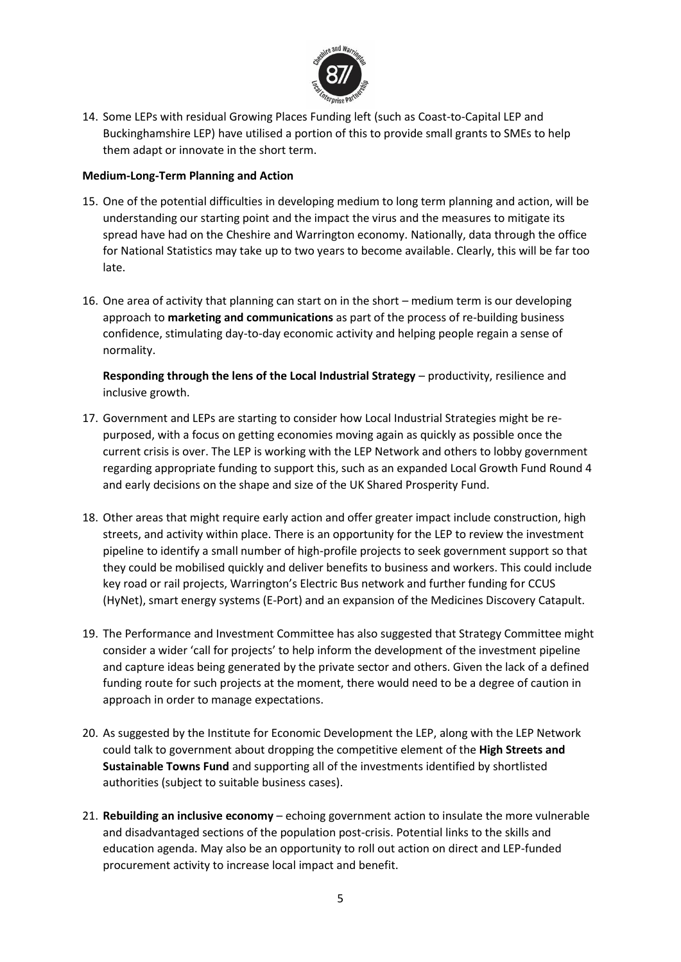

14. Some LEPs with residual Growing Places Funding left (such as Coast-to-Capital LEP and Buckinghamshire LEP) have utilised a portion of this to provide small grants to SMEs to help them adapt or innovate in the short term.

## **Medium-Long-Term Planning and Action**

- 15. One of the potential difficulties in developing medium to long term planning and action, will be understanding our starting point and the impact the virus and the measures to mitigate its spread have had on the Cheshire and Warrington economy. Nationally, data through the office for National Statistics may take up to two years to become available. Clearly, this will be far too late.
- 16. One area of activity that planning can start on in the short medium term is our developing approach to **marketing and communications** as part of the process of re-building business confidence, stimulating day-to-day economic activity and helping people regain a sense of normality.

**Responding through the lens of the Local Industrial Strategy** – productivity, resilience and inclusive growth.

- 17. Government and LEPs are starting to consider how Local Industrial Strategies might be repurposed, with a focus on getting economies moving again as quickly as possible once the current crisis is over. The LEP is working with the LEP Network and others to lobby government regarding appropriate funding to support this, such as an expanded Local Growth Fund Round 4 and early decisions on the shape and size of the UK Shared Prosperity Fund.
- 18. Other areas that might require early action and offer greater impact include construction, high streets, and activity within place. There is an opportunity for the LEP to review the investment pipeline to identify a small number of high-profile projects to seek government support so that they could be mobilised quickly and deliver benefits to business and workers. This could include key road or rail projects, Warrington's Electric Bus network and further funding for CCUS (HyNet), smart energy systems (E-Port) and an expansion of the Medicines Discovery Catapult.
- 19. The Performance and Investment Committee has also suggested that Strategy Committee might consider a wider 'call for projects' to help inform the development of the investment pipeline and capture ideas being generated by the private sector and others. Given the lack of a defined funding route for such projects at the moment, there would need to be a degree of caution in approach in order to manage expectations.
- 20. As suggested by the Institute for Economic Development the LEP, along with the LEP Network could talk to government about dropping the competitive element of the **High Streets and Sustainable Towns Fund** and supporting all of the investments identified by shortlisted authorities (subject to suitable business cases).
- 21. **Rebuilding an inclusive economy** echoing government action to insulate the more vulnerable and disadvantaged sections of the population post-crisis. Potential links to the skills and education agenda. May also be an opportunity to roll out action on direct and LEP-funded procurement activity to increase local impact and benefit.